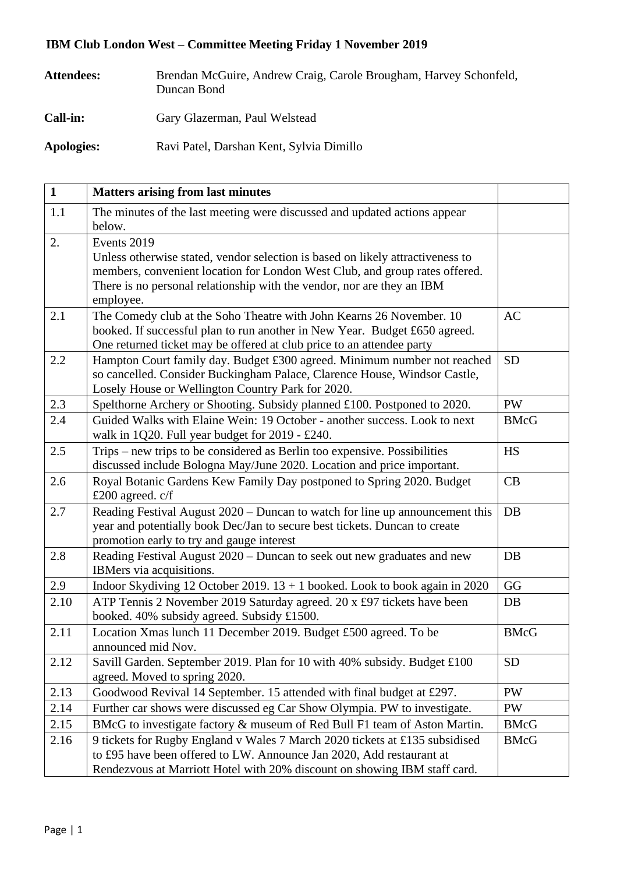## **IBM Club London West – Committee Meeting Friday 1 November 2019**

| <b>Attendees:</b> | Brendan McGuire, Andrew Craig, Carole Brougham, Harvey Schonfeld,<br>Duncan Bond |
|-------------------|----------------------------------------------------------------------------------|
| <b>Call-in:</b>   | Gary Glazerman, Paul Welstead                                                    |
| <b>Apologies:</b> | Ravi Patel, Darshan Kent, Sylvia Dimillo                                         |

| $\mathbf{1}$ | <b>Matters arising from last minutes</b>                                                                                                                                                                                                                            |             |
|--------------|---------------------------------------------------------------------------------------------------------------------------------------------------------------------------------------------------------------------------------------------------------------------|-------------|
| 1.1          | The minutes of the last meeting were discussed and updated actions appear<br>below.                                                                                                                                                                                 |             |
| 2.           | Events 2019<br>Unless otherwise stated, vendor selection is based on likely attractiveness to<br>members, convenient location for London West Club, and group rates offered.<br>There is no personal relationship with the vendor, nor are they an IBM<br>employee. |             |
| 2.1          | The Comedy club at the Soho Theatre with John Kearns 26 November. 10<br>booked. If successful plan to run another in New Year. Budget £650 agreed.<br>One returned ticket may be offered at club price to an attendee party                                         | AC          |
| 2.2          | Hampton Court family day. Budget £300 agreed. Minimum number not reached<br>so cancelled. Consider Buckingham Palace, Clarence House, Windsor Castle,<br>Losely House or Wellington Country Park for 2020.                                                          | <b>SD</b>   |
| 2.3          | Spelthorne Archery or Shooting. Subsidy planned £100. Postponed to 2020.                                                                                                                                                                                            | <b>PW</b>   |
| 2.4          | Guided Walks with Elaine Wein: 19 October - another success. Look to next<br>walk in 1Q20. Full year budget for $2019 - \text{\textsterling}240$ .                                                                                                                  | <b>BMcG</b> |
| 2.5          | Trips – new trips to be considered as Berlin too expensive. Possibilities<br>discussed include Bologna May/June 2020. Location and price important.                                                                                                                 | HS          |
| 2.6          | Royal Botanic Gardens Kew Family Day postponed to Spring 2020. Budget<br>£200 agreed. $c/f$                                                                                                                                                                         | CB          |
| 2.7          | Reading Festival August 2020 – Duncan to watch for line up announcement this<br>year and potentially book Dec/Jan to secure best tickets. Duncan to create<br>promotion early to try and gauge interest                                                             | DB          |
| 2.8          | Reading Festival August 2020 – Duncan to seek out new graduates and new<br>IBMers via acquisitions.                                                                                                                                                                 | DB          |
| 2.9          | Indoor Skydiving 12 October 2019. $13 + 1$ booked. Look to book again in 2020                                                                                                                                                                                       | GG          |
| 2.10         | ATP Tennis 2 November 2019 Saturday agreed. 20 x £97 tickets have been<br>booked. 40% subsidy agreed. Subsidy £1500.                                                                                                                                                | DB          |
| 2.11         | Location Xmas lunch 11 December 2019. Budget £500 agreed. To be<br>announced mid Nov.                                                                                                                                                                               | <b>BMcG</b> |
| 2.12         | Savill Garden. September 2019. Plan for 10 with 40% subsidy. Budget £100<br>agreed. Moved to spring 2020.                                                                                                                                                           | <b>SD</b>   |
| 2.13         | Goodwood Revival 14 September. 15 attended with final budget at £297.                                                                                                                                                                                               | <b>PW</b>   |
| 2.14         | Further car shows were discussed eg Car Show Olympia. PW to investigate.                                                                                                                                                                                            | <b>PW</b>   |
| 2.15         | BMcG to investigate factory & museum of Red Bull F1 team of Aston Martin.                                                                                                                                                                                           | <b>BMcG</b> |
| 2.16         | 9 tickets for Rugby England v Wales 7 March 2020 tickets at £135 subsidised<br>to £95 have been offered to LW. Announce Jan 2020, Add restaurant at<br>Rendezvous at Marriott Hotel with 20% discount on showing IBM staff card.                                    | <b>BMcG</b> |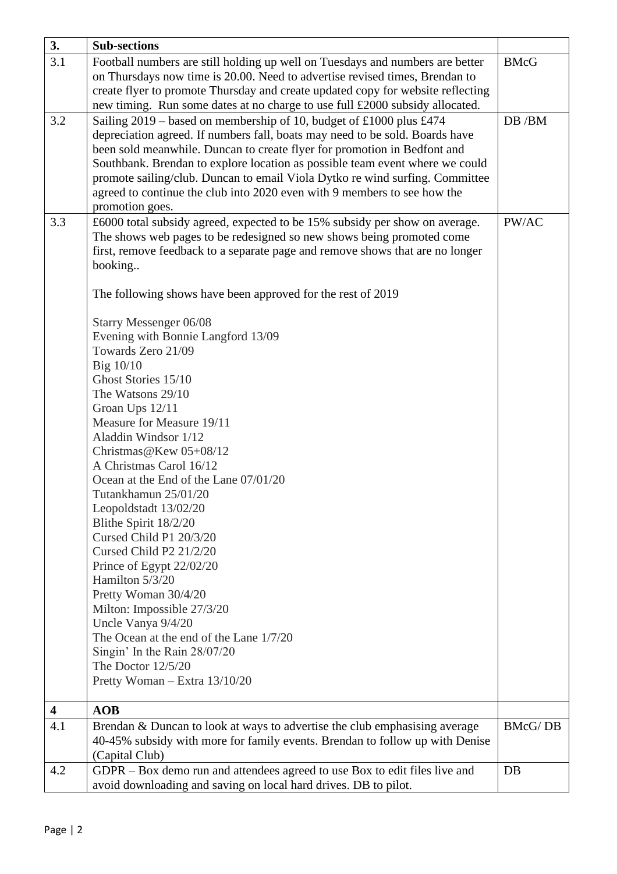| 3.                      | <b>Sub-sections</b>                                                                                                                                    |                |
|-------------------------|--------------------------------------------------------------------------------------------------------------------------------------------------------|----------------|
| 3.1                     | Football numbers are still holding up well on Tuesdays and numbers are better                                                                          | <b>BMcG</b>    |
|                         | on Thursdays now time is 20.00. Need to advertise revised times, Brendan to                                                                            |                |
|                         | create flyer to promote Thursday and create updated copy for website reflecting                                                                        |                |
|                         | new timing. Run some dates at no charge to use full £2000 subsidy allocated.                                                                           |                |
| 3.2                     | Sailing $2019$ – based on membership of 10, budget of £1000 plus £474                                                                                  | DB /BM         |
|                         | depreciation agreed. If numbers fall, boats may need to be sold. Boards have                                                                           |                |
|                         | been sold meanwhile. Duncan to create flyer for promotion in Bedfont and                                                                               |                |
|                         | Southbank. Brendan to explore location as possible team event where we could                                                                           |                |
|                         | promote sailing/club. Duncan to email Viola Dytko re wind surfing. Committee                                                                           |                |
|                         | agreed to continue the club into 2020 even with 9 members to see how the                                                                               |                |
|                         | promotion goes.                                                                                                                                        |                |
| 3.3                     | £6000 total subsidy agreed, expected to be 15% subsidy per show on average.                                                                            | PW/AC          |
|                         | The shows web pages to be redesigned so new shows being promoted come<br>first, remove feedback to a separate page and remove shows that are no longer |                |
|                         | booking                                                                                                                                                |                |
|                         |                                                                                                                                                        |                |
|                         | The following shows have been approved for the rest of 2019                                                                                            |                |
|                         |                                                                                                                                                        |                |
|                         | Starry Messenger 06/08                                                                                                                                 |                |
|                         | Evening with Bonnie Langford 13/09                                                                                                                     |                |
|                         | Towards Zero 21/09                                                                                                                                     |                |
|                         | Big $10/10$                                                                                                                                            |                |
|                         | Ghost Stories 15/10                                                                                                                                    |                |
|                         | The Watsons 29/10                                                                                                                                      |                |
|                         | Groan Ups 12/11                                                                                                                                        |                |
|                         | Measure for Measure 19/11                                                                                                                              |                |
|                         | Aladdin Windsor 1/12                                                                                                                                   |                |
|                         | Christmas@Kew 05+08/12                                                                                                                                 |                |
|                         | A Christmas Carol 16/12<br>Ocean at the End of the Lane 07/01/20                                                                                       |                |
|                         | Tutankhamun 25/01/20                                                                                                                                   |                |
|                         | Leopoldstadt 13/02/20                                                                                                                                  |                |
|                         | Blithe Spirit 18/2/20                                                                                                                                  |                |
|                         | Cursed Child P1 20/3/20                                                                                                                                |                |
|                         | Cursed Child P2 21/2/20                                                                                                                                |                |
|                         | Prince of Egypt 22/02/20                                                                                                                               |                |
|                         | Hamilton 5/3/20                                                                                                                                        |                |
|                         | Pretty Woman 30/4/20                                                                                                                                   |                |
|                         | Milton: Impossible 27/3/20                                                                                                                             |                |
|                         | Uncle Vanya 9/4/20                                                                                                                                     |                |
|                         | The Ocean at the end of the Lane 1/7/20                                                                                                                |                |
|                         | Singin' In the Rain 28/07/20                                                                                                                           |                |
|                         | The Doctor $12/5/20$                                                                                                                                   |                |
|                         | Pretty Woman - Extra 13/10/20                                                                                                                          |                |
| $\overline{\mathbf{4}}$ | AOB                                                                                                                                                    |                |
| 4.1                     | Brendan & Duncan to look at ways to advertise the club emphasising average                                                                             | <b>BMcG/DB</b> |
|                         | 40-45% subsidy with more for family events. Brendan to follow up with Denise                                                                           |                |
|                         | (Capital Club)                                                                                                                                         |                |
| 4.2                     | GDPR – Box demo run and attendees agreed to use Box to edit files live and                                                                             | DB             |
|                         | avoid downloading and saving on local hard drives. DB to pilot.                                                                                        |                |